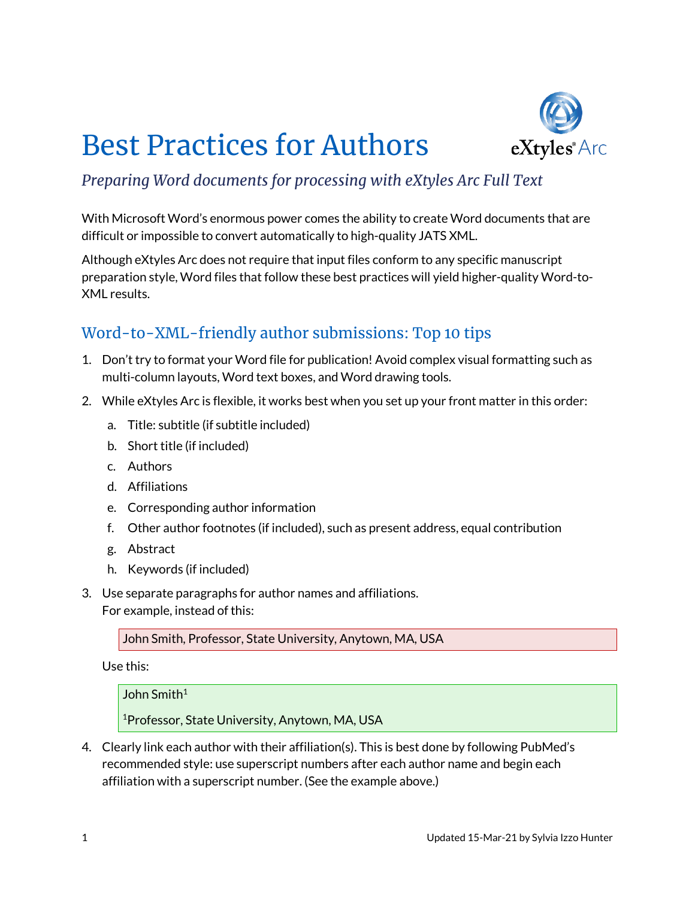# Best Practices for Authors



### *Preparing Word documents for processing with eXtyles Arc Full Text*

With Microsoft Word's enormous power comes the ability to create Word documents that are difficult or impossible to convert automatically to high-quality JATS XML.

Although eXtyles Arc does not require that input files conform to any specific manuscript preparation style, Word files that follow these best practices will yield higher-quality Word-to-XML results.

### Word-to-XML-friendly author submissions: Top 10 tips

- 1. Don't try to format your Word file for publication! Avoid complex visual formatting such as multi-column layouts, Word text boxes, and Word drawing tools.
- 2. While eXtyles Arc is flexible, it works best when you set up your front matter in this order:
	- a. Title: subtitle (if subtitle included)
	- b. Short title (if included)
	- c. Authors
	- d. Affiliations
	- e. Corresponding author information
	- f. Other author footnotes (if included), such as present address, equal contribution
	- g. Abstract
	- h. Keywords (if included)
- 3. Use separate paragraphs for author names and affiliations. For example, instead of this:

John Smith, Professor, State University, Anytown, MA, USA

Use this:

John Smith<sup>1</sup>

1Professor, State University, Anytown, MA, USA

4. Clearly link each author with their affiliation(s). This is best done by following PubMed's recommended style: use superscript numbers after each author name and begin each affiliation with a superscript number. (See the example above.)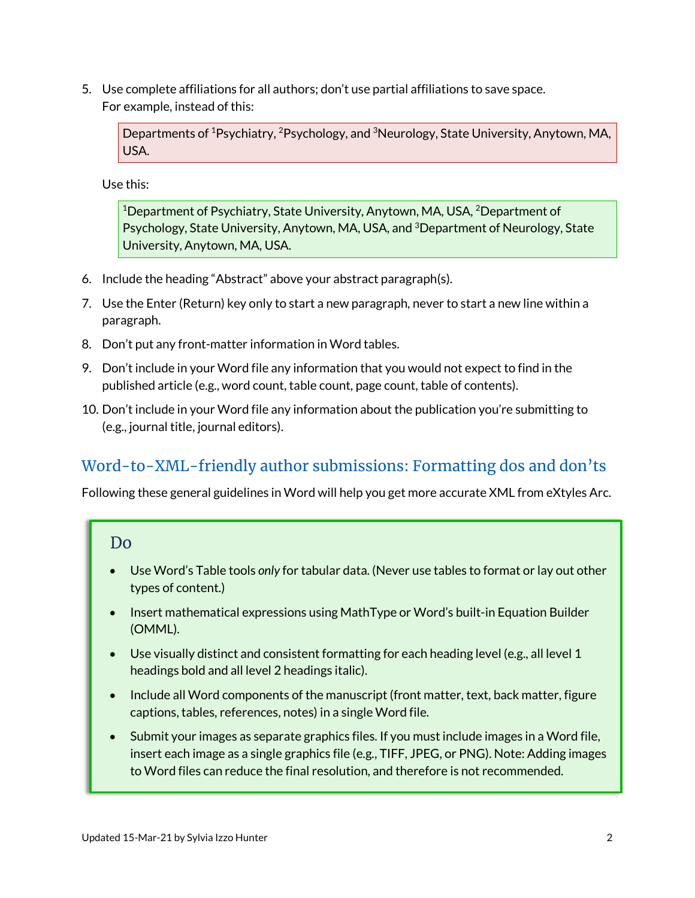5. Use complete affiliations for all authors; don't use partial affiliations to save space. For example, instead of this:

Departments of <sup>1</sup>Psychiatry, <sup>2</sup>Psychology, and <sup>3</sup>Neurology, State University, Anytown, MA, USA.

Use this:

 $1$ Department of Psychiatry, State University, Anytown, MA, USA,  $2$ Department of Psychology, State University, Anytown, MA, USA, and <sup>3</sup>Department of Neurology, State University, Anytown, MA, USA.

- 6. Include the heading "Abstract" above your abstract paragraph(s).
- 7. Use the Enter (Return) key only to start a new paragraph, never to start a new line within a paragraph.
- 8. Don't put any front-matter information in Word tables.
- 9. Don't include in your Word file any information that you would not expect to find in the published article (e.g., word count, table count, page count, table of contents).
- 10. Don't include in your Word file any information about the publication you're submitting to (e.g., journal title, journal editors).

### Word-to-XML-friendly author submissions: Formatting dos and don'ts

Following these general guidelines in Word will help you get more accurate XML from eXtyles Arc.

#### Do

- Use Word's Table tools *only* for tabular data. (Never use tables to format or lay out other types of content.)
- Insert mathematical expressions using MathType or Word's built-in Equation Builder (OMML).
- Use visually distinct and consistent formatting for each heading level (e.g., all level 1 headings bold and all level 2 headings italic).
- Include all Word components of the manuscript (front matter, text, back matter, figure captions, tables, references, notes) in a single Word file.
- Submit your images as separate graphics files. If you must include images in a Word file, insert each image as a single graphics file (e.g., TIFF, JPEG, or PNG). Note: Adding images to Word files can reduce the final resolution, and therefore is not recommended.